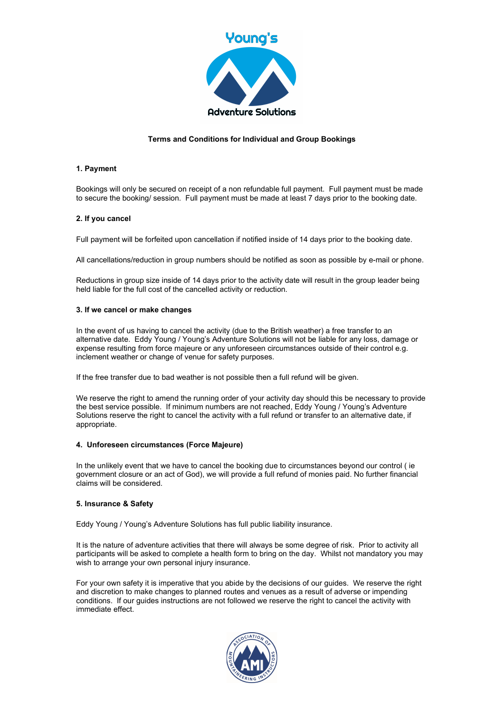

# Terms and Conditions for Individual and Group Bookings

### 1. Payment

Bookings will only be secured on receipt of a non refundable full payment. Full payment must be made to secure the booking/ session. Full payment must be made at least 7 days prior to the booking date.

### 2. If you cancel

Full payment will be forfeited upon cancellation if notified inside of 14 days prior to the booking date.

All cancellations/reduction in group numbers should be notified as soon as possible by e-mail or phone.

Reductions in group size inside of 14 days prior to the activity date will result in the group leader being held liable for the full cost of the cancelled activity or reduction.

### 3. If we cancel or make changes

In the event of us having to cancel the activity (due to the British weather) a free transfer to an alternative date. Eddy Young / Young's Adventure Solutions will not be liable for any loss, damage or expense resulting from force majeure or any unforeseen circumstances outside of their control e.g. inclement weather or change of venue for safety purposes.

If the free transfer due to bad weather is not possible then a full refund will be given.

We reserve the right to amend the running order of your activity day should this be necessary to provide the best service possible. If minimum numbers are not reached, Eddy Young / Young's Adventure Solutions reserve the right to cancel the activity with a full refund or transfer to an alternative date, if appropriate.

#### 4. Unforeseen circumstances (Force Majeure)

In the unlikely event that we have to cancel the booking due to circumstances beyond our control (ie government closure or an act of God), we will provide a full refund of monies paid. No further financial claims will be considered.

#### 5. Insurance & Safety

Eddy Young / Young's Adventure Solutions has full public liability insurance.

It is the nature of adventure activities that there will always be some degree of risk. Prior to activity all participants will be asked to complete a health form to bring on the day. Whilst not mandatory you may wish to arrange your own personal injury insurance.

For your own safety it is imperative that you abide by the decisions of our guides. We reserve the right and discretion to make changes to planned routes and venues as a result of adverse or impending conditions. If our guides instructions are not followed we reserve the right to cancel the activity with immediate effect.